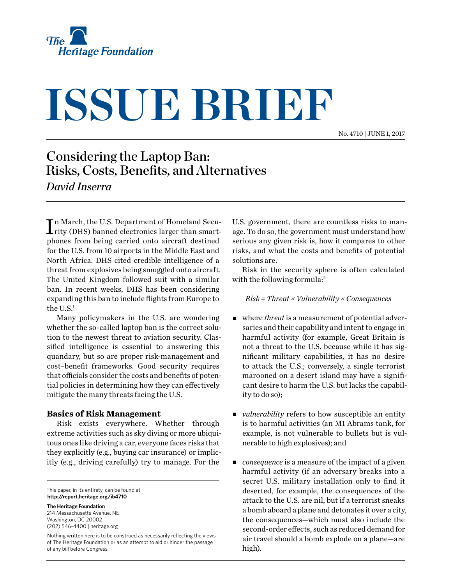

# **ISSUE BRIEF**

No. 4710 | June 1, 2017

## Considering the Laptop Ban: Risks, Costs, Benefits, and Alternatives

*David Inserra*

In March, the U.S. Department of Homeland Security (DHS) banned electronics larger than smartrity (DHS) banned electronics larger than smartphones from being carried onto aircraft destined for the U.S. from 10 airports in the Middle East and North Africa. DHS cited credible intelligence of a threat from explosives being smuggled onto aircraft. The United Kingdom followed suit with a similar ban. In recent weeks, DHS has been considering expanding this ban to include flights from Europe to the  $U.S.<sup>1</sup>$ 

Many policymakers in the U.S. are wondering whether the so-called laptop ban is the correct solution to the newest threat to aviation security. Classified intelligence is essential to answering this quandary, but so are proper risk-management and cost–benefit frameworks. Good security requires that officials consider the costs and benefits of potential policies in determining how they can effectively mitigate the many threats facing the U.S.

### **Basics of Risk Management**

Risk exists everywhere. Whether through extreme activities such as sky diving or more ubiquitous ones like driving a car, everyone faces risks that they explicitly (e.g., buying car insurance) or implicitly (e.g., driving carefully) try to manage. For the

This paper, in its entirety, can be found at **http://report.heritage.org/ib4710**

**The Heritage Foundation** 214 Massachusetts Avenue, NE Washington, DC 20002 (202) 546-4400 | [heritage.org](http://www.heritage.org)

Nothing written here is to be construed as necessarily reflecting the views of The Heritage Foundation or as an attempt to aid or hinder the passage of any bill before Congress.

U.S. government, there are countless risks to manage. To do so, the government must understand how serious any given risk is, how it compares to other risks, and what the costs and benefits of potential solutions are.

Risk in the security sphere is often calculated with the following formula:<sup>2</sup>

*Risk = Threat × Vulnerability × Consequences*

- <sup>n</sup> where *threat* is a measurement of potential adversaries and their capability and intent to engage in harmful activity (for example, Great Britain is not a threat to the U.S. because while it has significant military capabilities, it has no desire to attack the U.S.; conversely, a single terrorist marooned on a desert island may have a significant desire to harm the U.S. but lacks the capability to do so);
- *vulnerability* refers to how susceptible an entity is to harmful activities (an M1 Abrams tank, for example, is not vulnerable to bullets but is vulnerable to high explosives); and
- *consequence* is a measure of the impact of a given harmful activity (if an adversary breaks into a secret U.S. military installation only to find it deserted, for example, the consequences of the attack to the U.S. are nil, but if a terrorist sneaks a bomb aboard a plane and detonates it over a city, the consequences—which must also include the second-order effects, such as reduced demand for air travel should a bomb explode on a plane—are high).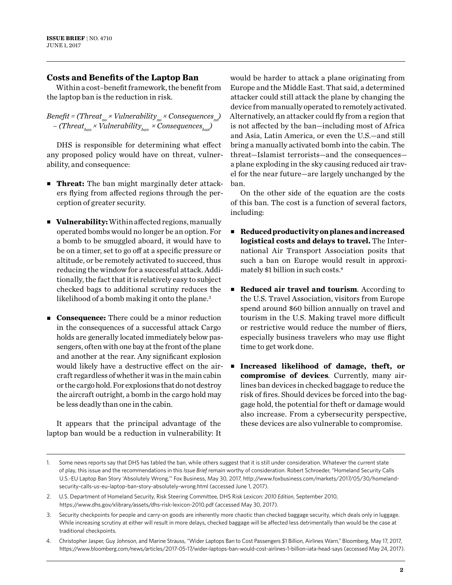### **Costs and Benefits of the Laptop Ban**

Within a cost–benefit framework, the benefit from the laptop ban is the reduction in risk.

 $Benefit$  = (Threat<sub>no</sub> × Vulnerability<sub>no</sub> × Consequences<sub>no</sub>)  $-$  (Threat<sub>ban</sub> × Vulnerability<sub>ban</sub> × Consequences<sub>ban</sub>)

DHS is responsible for determining what effect any proposed policy would have on threat, vulnerability, and consequence:

- **Threat:** The ban might marginally deter attackers flying from affected regions through the perception of greater security.
- **Vulnerability:** Within affected regions, manually operated bombs would no longer be an option. For a bomb to be smuggled aboard, it would have to be on a timer, set to go off at a specific pressure or altitude, or be remotely activated to succeed, thus reducing the window for a successful attack. Additionally, the fact that it is relatively easy to subject checked bags to additional scrutiny reduces the likelihood of a bomb making it onto the plane.<sup>3</sup>
- **Consequence:** There could be a minor reduction in the consequences of a successful attack Cargo holds are generally located immediately below passengers, often with one bay at the front of the plane and another at the rear. Any significant explosion would likely have a destructive effect on the aircraft regardless of whether it was in the main cabin or the cargo hold. For explosions that do not destroy the aircraft outright, a bomb in the cargo hold may be less deadly than one in the cabin.

It appears that the principal advantage of the laptop ban would be a reduction in vulnerability: It

would be harder to attack a plane originating from Europe and the Middle East. That said, a determined attacker could still attack the plane by changing the device from manually operated to remotely activated. Alternatively, an attacker could fly from a region that is not affected by the ban—including most of Africa and Asia, Latin America, or even the U.S.—and still bring a manually activated bomb into the cabin. The threat—Islamist terrorists—and the consequences a plane exploding in the sky causing reduced air travel for the near future—are largely unchanged by the ban.

On the other side of the equation are the costs of this ban. The cost is a function of several factors, including:

- <sup>n</sup> **Reduced productivity on planes and increased logistical costs and delays to travel.** The International Air Transport Association posits that such a ban on Europe would result in approximately \$1 billion in such costs.4
- **n Reduced air travel and tourism**. According to the U.S. Travel Association, visitors from Europe spend around \$60 billion annually on travel and tourism in the U.S. Making travel more difficult or restrictive would reduce the number of fliers, especially business travelers who may use flight time to get work done.
- <sup>n</sup> **Increased likelihood of damage, theft, or compromise of devices***.* Currently, many airlines ban devices in checked baggage to reduce the risk of fires. Should devices be forced into the baggage hold, the potential for theft or damage would also increase. From a cybersecurity perspective, these devices are also vulnerable to compromise.

<sup>1.</sup> Some news reports say that DHS has tabled the ban, while others suggest that it is still under consideration. Whatever the current state of play, this issue and the recommendations in this *Issue Brief* remain worthy of consideration. Robert Schroeder, "Homeland Security Calls U.S.-EU Laptop Ban Story 'Absolutely Wrong,'" Fox Business, May 30, 2017, [http://www.foxbusiness.com/markets/2017/05/30/homeland](http://www.foxbusiness.com/markets/2017/05/30/homeland-security-calls-us-eu-laptop-ban-story-absolutely-wrong.html)[security-calls-us-eu-laptop-ban-story-absolutely-wrong.html](http://www.foxbusiness.com/markets/2017/05/30/homeland-security-calls-us-eu-laptop-ban-story-absolutely-wrong.html) (accessed June 1, 2017).

<sup>2.</sup> U.S. Department of Homeland Security, Risk Steering Committee, DHS Risk Lexicon*: 2010 Edition*, September 2010, <https://www.dhs.gov/xlibrary/assets/dhs-risk-lexicon-2010.pdf>(accessed May 30, 2017).

<sup>3.</sup> Security checkpoints for people and carry-on goods are inherently more chaotic than checked baggage security, which deals only in luggage. While increasing scrutiny at either will result in more delays, checked baggage will be affected less detrimentally than would be the case at traditional checkpoints.

<sup>4.</sup> Christopher Jasper, Guy Johnson, and Marine Strauss, "Wider Laptops Ban to Cost Passengers \$1 Billion, Airlines Warn," Bloomberg, May 17, 2017, <https://www.bloomberg.com/news/articles/2017-05-17/wider-laptops-ban-would-cost-airlines-1-billion-iata-head-says> (accessed May 24, 2017).